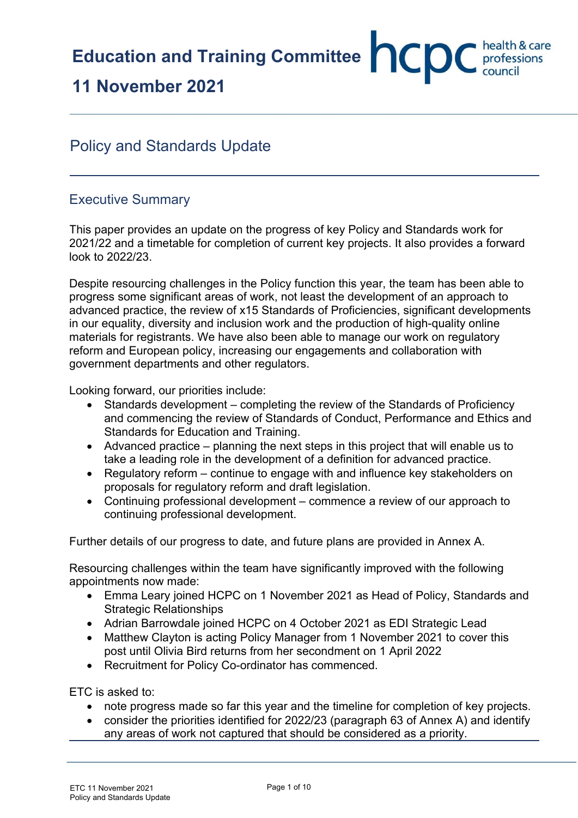# **11 November 2021**

## Policy and Standards Update

## Executive Summary

This paper provides an update on the progress of key Policy and Standards work for 2021/22 and a timetable for completion of current key projects. It also provides a forward look to 2022/23.

Despite resourcing challenges in the Policy function this year, the team has been able to progress some significant areas of work, not least the development of an approach to advanced practice, the review of x15 Standards of Proficiencies, significant developments in our equality, diversity and inclusion work and the production of high-quality online materials for registrants. We have also been able to manage our work on regulatory reform and European policy, increasing our engagements and collaboration with government departments and other regulators.

Looking forward, our priorities include:

- Standards development completing the review of the Standards of Proficiency and commencing the review of Standards of Conduct, Performance and Ethics and Standards for Education and Training.
- Advanced practice planning the next steps in this project that will enable us to take a leading role in the development of a definition for advanced practice.
- Regulatory reform continue to engage with and influence key stakeholders on proposals for regulatory reform and draft legislation.
- Continuing professional development commence a review of our approach to continuing professional development.

Further details of our progress to date, and future plans are provided in Annex A.

Resourcing challenges within the team have significantly improved with the following appointments now made:

- Emma Leary joined HCPC on 1 November 2021 as Head of Policy, Standards and Strategic Relationships
- Adrian Barrowdale joined HCPC on 4 October 2021 as EDI Strategic Lead
- Matthew Clayton is acting Policy Manager from 1 November 2021 to cover this post until Olivia Bird returns from her secondment on 1 April 2022
- Recruitment for Policy Co-ordinator has commenced.

ETC is asked to:

- note progress made so far this year and the timeline for completion of key projects.
- consider the priorities identified for 2022/23 (paragraph 63 of Annex A) and identify any areas of work not captured that should be considered as a priority.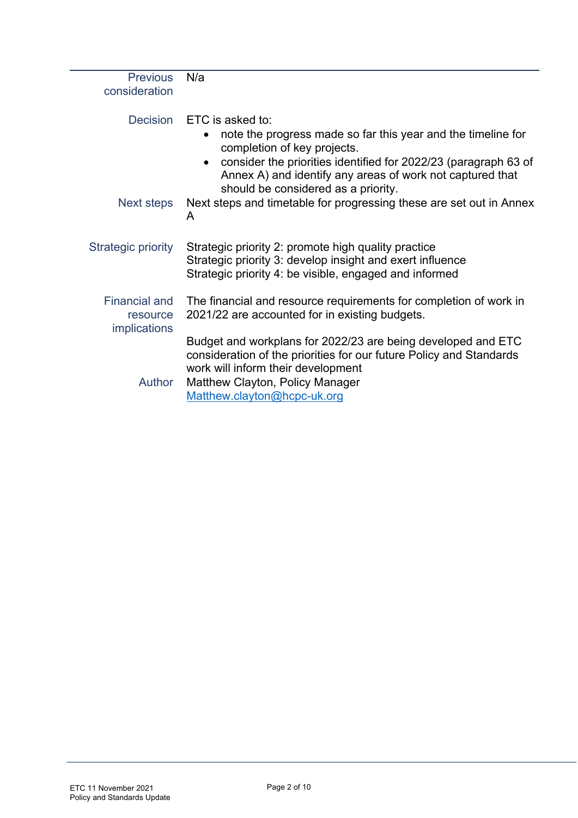| <b>Previous</b><br>consideration | N/a                                                                                                                                                                 |
|----------------------------------|---------------------------------------------------------------------------------------------------------------------------------------------------------------------|
| <b>Decision</b>                  | ETC is asked to:                                                                                                                                                    |
|                                  | note the progress made so far this year and the timeline for<br>completion of key projects.                                                                         |
|                                  | consider the priorities identified for 2022/23 (paragraph 63 of<br>Annex A) and identify any areas of work not captured that<br>should be considered as a priority. |
| Next steps                       | Next steps and timetable for progressing these are set out in Annex<br>A                                                                                            |
| Strategic priority               | Strategic priority 2: promote high quality practice                                                                                                                 |
|                                  | Strategic priority 3: develop insight and exert influence                                                                                                           |
|                                  | Strategic priority 4: be visible, engaged and informed                                                                                                              |
| <b>Financial and</b>             | The financial and resource requirements for completion of work in                                                                                                   |
| resource<br><i>implications</i>  | 2021/22 are accounted for in existing budgets.                                                                                                                      |
|                                  | Budget and workplans for 2022/23 are being developed and ETC                                                                                                        |
|                                  | consideration of the priorities for our future Policy and Standards<br>work will inform their development                                                           |
| <b>Author</b>                    | Matthew Clayton, Policy Manager                                                                                                                                     |
|                                  | Matthew.clayton@hcpc-uk.org                                                                                                                                         |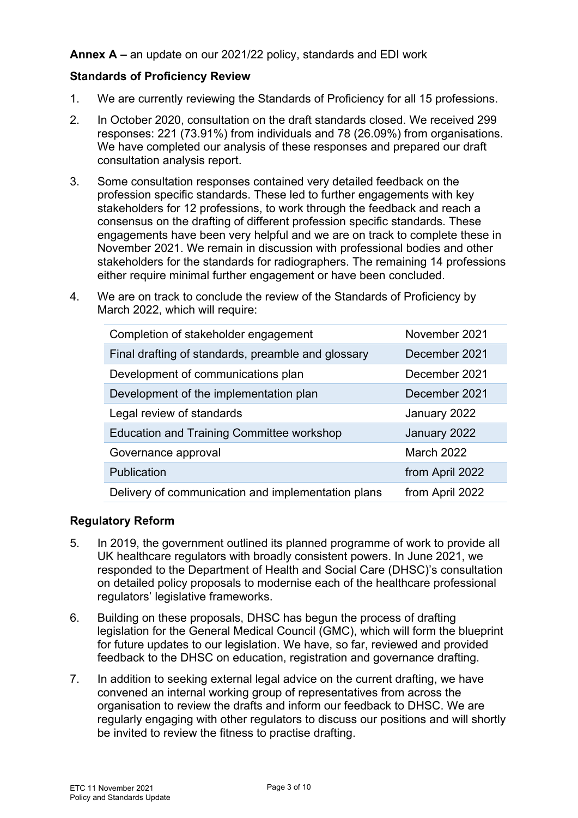## **Annex A –** an update on our 2021/22 policy, standards and EDI work

## **Standards of Proficiency Review**

- 1. We are currently reviewing the Standards of Proficiency for all 15 professions.
- 2. In October 2020, consultation on the draft standards closed. We received 299 responses: 221 (73.91%) from individuals and 78 (26.09%) from organisations. We have completed our analysis of these responses and prepared our draft consultation analysis report.
- 3. Some consultation responses contained very detailed feedback on the profession specific standards. These led to further engagements with key stakeholders for 12 professions, to work through the feedback and reach a consensus on the drafting of different profession specific standards. These engagements have been very helpful and we are on track to complete these in November 2021. We remain in discussion with professional bodies and other stakeholders for the standards for radiographers. The remaining 14 professions either require minimal further engagement or have been concluded.
- 4. We are on track to conclude the review of the Standards of Proficiency by March 2022, which will require:

| Completion of stakeholder engagement               | November 2021     |
|----------------------------------------------------|-------------------|
| Final drafting of standards, preamble and glossary | December 2021     |
| Development of communications plan                 | December 2021     |
| Development of the implementation plan             | December 2021     |
| Legal review of standards                          | January 2022      |
| <b>Education and Training Committee workshop</b>   | January 2022      |
| Governance approval                                | <b>March 2022</b> |
| <b>Publication</b>                                 | from April 2022   |
| Delivery of communication and implementation plans | from April 2022   |

## **Regulatory Reform**

- 5. In 2019, the government outlined its planned programme of work to provide all UK healthcare regulators with broadly consistent powers. In June 2021, we responded to the Department of Health and Social Care (DHSC)'s consultation on detailed policy proposals to modernise each of the healthcare professional regulators' legislative frameworks.
- 6. Building on these proposals, DHSC has begun the process of drafting legislation for the General Medical Council (GMC), which will form the blueprint for future updates to our legislation. We have, so far, reviewed and provided feedback to the DHSC on education, registration and governance drafting.
- 7. In addition to seeking external legal advice on the current drafting, we have convened an internal working group of representatives from across the organisation to review the drafts and inform our feedback to DHSC. We are regularly engaging with other regulators to discuss our positions and will shortly be invited to review the fitness to practise drafting.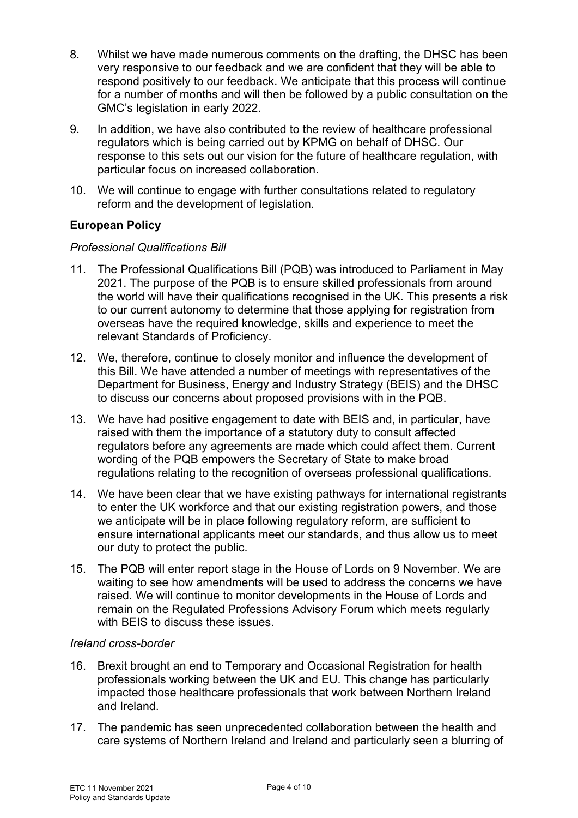- 8. Whilst we have made numerous comments on the drafting, the DHSC has been very responsive to our feedback and we are confident that they will be able to respond positively to our feedback. We anticipate that this process will continue for a number of months and will then be followed by a public consultation on the GMC's legislation in early 2022.
- 9. In addition, we have also contributed to the review of healthcare professional regulators which is being carried out by KPMG on behalf of DHSC. Our response to this sets out our vision for the future of healthcare regulation, with particular focus on increased collaboration.
- 10. We will continue to engage with further consultations related to regulatory reform and the development of legislation.

## **European Policy**

## *Professional Qualifications Bill*

- 11. The Professional Qualifications Bill (PQB) was introduced to Parliament in May 2021. The purpose of the PQB is to ensure skilled professionals from around the world will have their qualifications recognised in the UK. This presents a risk to our current autonomy to determine that those applying for registration from overseas have the required knowledge, skills and experience to meet the relevant Standards of Proficiency.
- 12. We, therefore, continue to closely monitor and influence the development of this Bill. We have attended a number of meetings with representatives of the Department for Business, Energy and Industry Strategy (BEIS) and the DHSC to discuss our concerns about proposed provisions with in the PQB.
- 13. We have had positive engagement to date with BEIS and, in particular, have raised with them the importance of a statutory duty to consult affected regulators before any agreements are made which could affect them. Current wording of the PQB empowers the Secretary of State to make broad regulations relating to the recognition of overseas professional qualifications.
- 14. We have been clear that we have existing pathways for international registrants to enter the UK workforce and that our existing registration powers, and those we anticipate will be in place following regulatory reform, are sufficient to ensure international applicants meet our standards, and thus allow us to meet our duty to protect the public.
- 15. The PQB will enter report stage in the House of Lords on 9 November. We are waiting to see how amendments will be used to address the concerns we have raised. We will continue to monitor developments in the House of Lords and remain on the Regulated Professions Advisory Forum which meets regularly with BEIS to discuss these issues.

## *Ireland cross-border*

- 16. Brexit brought an end to Temporary and Occasional Registration for health professionals working between the UK and EU. This change has particularly impacted those healthcare professionals that work between Northern Ireland and Ireland.
- 17. The pandemic has seen unprecedented collaboration between the health and care systems of Northern Ireland and Ireland and particularly seen a blurring of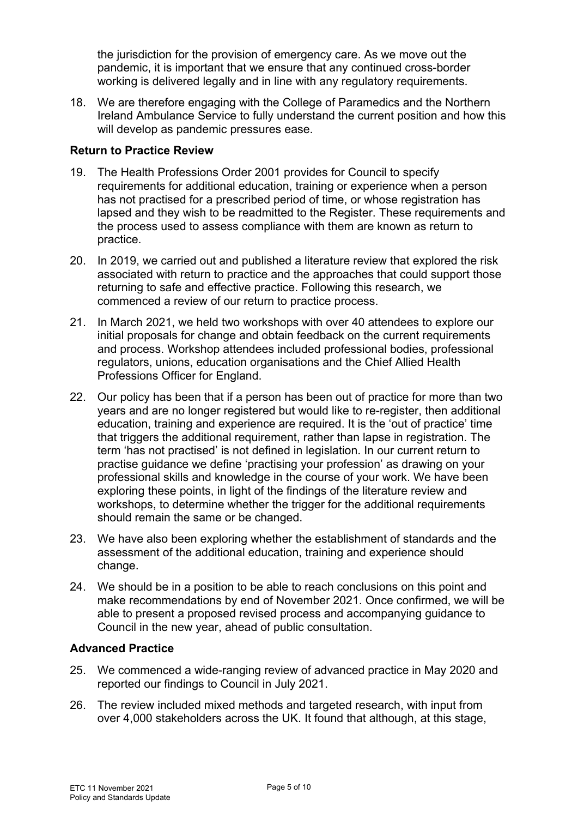the jurisdiction for the provision of emergency care. As we move out the pandemic, it is important that we ensure that any continued cross-border working is delivered legally and in line with any regulatory requirements.

18. We are therefore engaging with the College of Paramedics and the Northern Ireland Ambulance Service to fully understand the current position and how this will develop as pandemic pressures ease.

## **Return to Practice Review**

- 19. The Health Professions Order 2001 provides for Council to specify requirements for additional education, training or experience when a person has not practised for a prescribed period of time, or whose registration has lapsed and they wish to be readmitted to the Register. These requirements and the process used to assess compliance with them are known as return to practice.
- 20. In 2019, we carried out and published a literature review that explored the risk associated with return to practice and the approaches that could support those returning to safe and effective practice. Following this research, we commenced a review of our return to practice process.
- 21. In March 2021, we held two workshops with over 40 attendees to explore our initial proposals for change and obtain feedback on the current requirements and process. Workshop attendees included professional bodies, professional regulators, unions, education organisations and the Chief Allied Health Professions Officer for England.
- 22. Our policy has been that if a person has been out of practice for more than two years and are no longer registered but would like to re-register, then additional education, training and experience are required. It is the 'out of practice' time that triggers the additional requirement, rather than lapse in registration. The term 'has not practised' is not defined in legislation. In our current return to practise guidance we define 'practising your profession' as drawing on your professional skills and knowledge in the course of your work. We have been exploring these points, in light of the findings of the literature review and workshops, to determine whether the trigger for the additional requirements should remain the same or be changed.
- 23. We have also been exploring whether the establishment of standards and the assessment of the additional education, training and experience should change.
- 24. We should be in a position to be able to reach conclusions on this point and make recommendations by end of November 2021. Once confirmed, we will be able to present a proposed revised process and accompanying guidance to Council in the new year, ahead of public consultation.

## **Advanced Practice**

- 25. We commenced a wide-ranging review of advanced practice in May 2020 and reported our findings to Council in July 2021.
- 26. The review included mixed methods and targeted research, with input from over 4,000 stakeholders across the UK. It found that although, at this stage,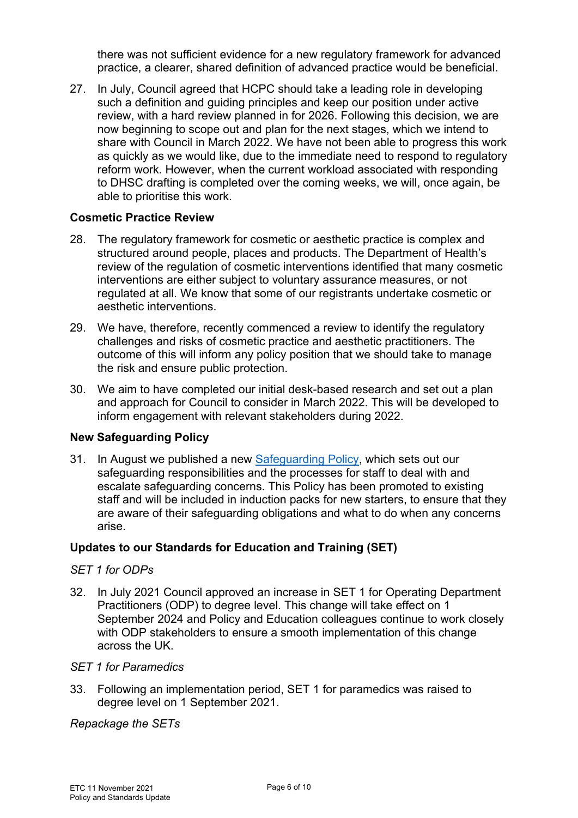there was not sufficient evidence for a new regulatory framework for advanced practice, a clearer, shared definition of advanced practice would be beneficial.

27. In July, Council agreed that HCPC should take a leading role in developing such a definition and guiding principles and keep our position under active review, with a hard review planned in for 2026. Following this decision, we are now beginning to scope out and plan for the next stages, which we intend to share with Council in March 2022. We have not been able to progress this work as quickly as we would like, due to the immediate need to respond to regulatory reform work. However, when the current workload associated with responding to DHSC drafting is completed over the coming weeks, we will, once again, be able to prioritise this work.

## **Cosmetic Practice Review**

- 28. The regulatory framework for cosmetic or aesthetic practice is complex and structured around people, places and products. The Department of Health's review of the regulation of cosmetic interventions identified that many cosmetic interventions are either subject to voluntary assurance measures, or not regulated at all. We know that some of our registrants undertake cosmetic or aesthetic interventions.
- 29. We have, therefore, recently commenced a review to identify the regulatory challenges and risks of cosmetic practice and aesthetic practitioners. The outcome of this will inform any policy position that we should take to manage the risk and ensure public protection.
- 30. We aim to have completed our initial desk-based research and set out a plan and approach for Council to consider in March 2022. This will be developed to inform engagement with relevant stakeholders during 2022.

## **New Safeguarding Policy**

31. In August we published a new [Safeguarding Policy,](https://hcpcuk.sharepoint.com/sites/document-hub/Policy%20and%20Standards/HCPC%20Safeguarding%20Policy.pdf) which sets out our safeguarding responsibilities and the processes for staff to deal with and escalate safeguarding concerns. This Policy has been promoted to existing staff and will be included in induction packs for new starters, to ensure that they are aware of their safeguarding obligations and what to do when any concerns arise.

## **Updates to our Standards for Education and Training (SET)**

## *SET 1 for ODPs*

32. In July 2021 Council approved an increase in SET 1 for Operating Department Practitioners (ODP) to degree level. This change will take effect on 1 September 2024 and Policy and Education colleagues continue to work closely with ODP stakeholders to ensure a smooth implementation of this change across the UK.

#### *SET 1 for Paramedics*

33. Following an implementation period, SET 1 for paramedics was raised to degree level on 1 September 2021.

*Repackage the SETs*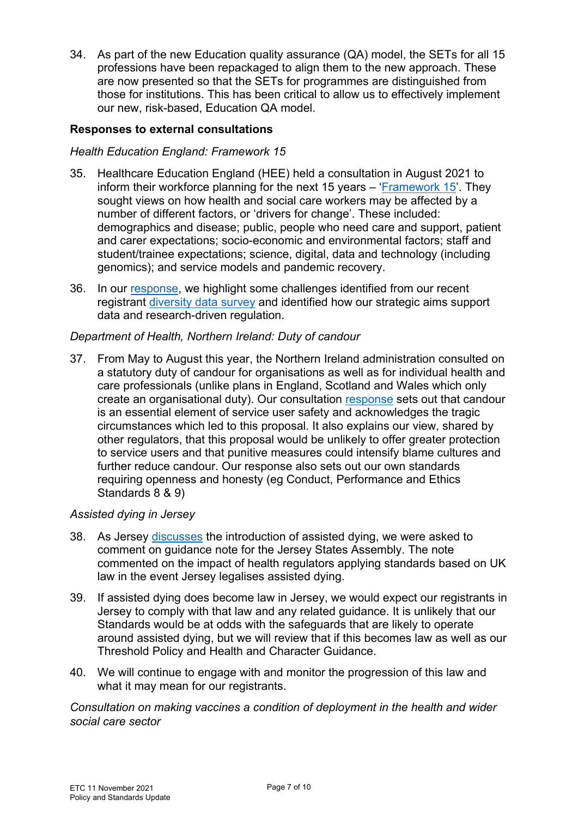34. As part of the new Education quality assurance (QA) model, the SETs for all 15 professions have been repackaged to align them to the new approach. These are now presented so that the SETs for programmes are distinguished from those for institutions. This has been critical to allow us to effectively implement our new, risk-based, Education QA model.

## **Responses to external consultations**

## *Health Education England: Framework 15*

- 35. Healthcare Education England (HEE) held a consultation in August 2021 to inform their workforce planning for the next 15 years – ['Framework 15'](https://www.hee.nhs.uk/our-work/framework-15). They sought views on how health and social care workers may be affected by a number of different factors, or 'drivers for change'. These included: demographics and disease; public, people who need care and support, patient and carer expectations; socio-economic and environmental factors; staff and student/trainee expectations; science, digital, data and technology (including genomics); and service models and pandemic recovery.
- 36. In our [response,](https://www.hcpc-uk.org/resources/consultation/2021/hcpc-response-to-the-hee-consultation-on-framework-15/) we highlight some challenges identified from our recent registrant [diversity data survey](https://www.hcpc-uk.org/about-us/equality-diversity-and-inclusion/our-data-on-edi/) and identified how our strategic aims support data and research-driven regulation.

## *Department of Health, Northern Ireland: Duty of candour*

37. From May to August this year, the Northern Ireland administration consulted on a statutory duty of candour for organisations as well as for individual health and care professionals (unlike plans in England, Scotland and Wales which only create an organisational duty). Our consultation [response](https://www.hcpc-uk.org/resources/consultation/2021/hcpc-response-to-the-department-of-health-northern-ireland-consultation-on-draft-policy-proposals-on-duty-of-candour--being-open/) sets out that candour is an essential element of service user safety and acknowledges the tragic circumstances which led to this proposal. It also explains our view, shared by other regulators, that this proposal would be unlikely to offer greater protection to service users and that punitive measures could intensify blame cultures and further reduce candour. Our response also sets out our own standards requiring openness and honesty (eg Conduct, Performance and Ethics Standards 8 & 9)

## *Assisted dying in Jersey*

- 38. As Jersey [discusses](https://www.gov.je/Caring/AssistedDying/Pages/CitizensJuryOnAssistedDying.aspx) the introduction of assisted dying, we were asked to comment on guidance note for the Jersey States Assembly. The note commented on the impact of health regulators applying standards based on UK law in the event Jersey legalises assisted dying.
- 39. If assisted dying does become law in Jersey, we would expect our registrants in Jersey to comply with that law and any related guidance. It is unlikely that our Standards would be at odds with the safeguards that are likely to operate around assisted dying, but we will review that if this becomes law as well as our Threshold Policy and Health and Character Guidance.
- 40. We will continue to engage with and monitor the progression of this law and what it may mean for our registrants.

*Consultation on making vaccines a condition of deployment in the health and wider social care sector*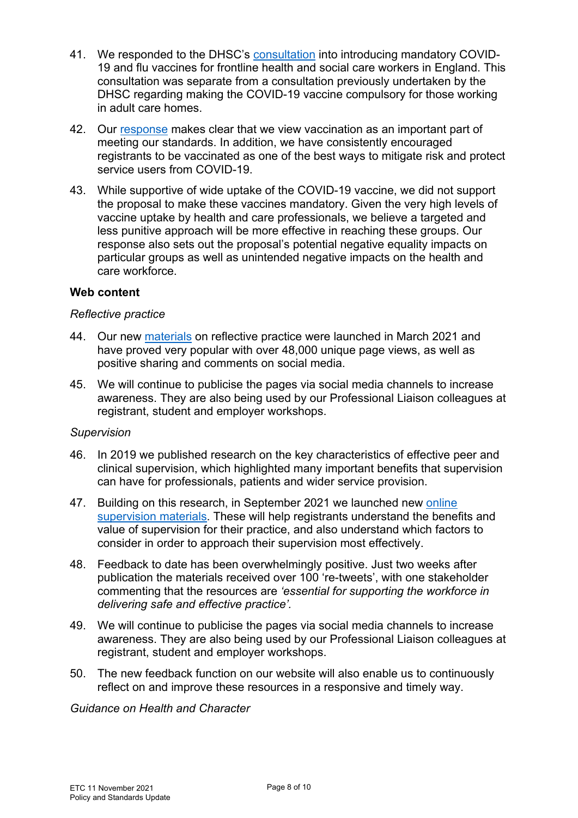- 41. We responded to the DHSC's [consultation](https://www.gov.uk/government/news/consultation-on-mandatory-vaccination-for-frontline-health-and-care-staff) into introducing mandatory COVID-19 and flu vaccines for frontline health and social care workers in England. This consultation was separate from a consultation previously undertaken by the DHSC regarding making the COVID-19 vaccine compulsory for those working in adult care homes.
- 42. Our [response](https://www.hcpc-uk.org/globalassets/resources/external-consultations/2021/hcpc-response-to-dhsc-consultation-on-mandatory-vaccination-for-frontline-health--care-staff.pdf?v=637709297650000000) makes clear that we view vaccination as an important part of meeting our standards. In addition, we have consistently encouraged registrants to be vaccinated as one of the best ways to mitigate risk and protect service users from COVID-19.
- 43. While supportive of wide uptake of the COVID-19 vaccine, we did not support the proposal to make these vaccines mandatory. Given the very high levels of vaccine uptake by health and care professionals, we believe a targeted and less punitive approach will be more effective in reaching these groups. Our response also sets out the proposal's potential negative equality impacts on particular groups as well as unintended negative impacts on the health and care workforce.

## **Web content**

#### *Reflective practice*

- 44. Our new [materials](https://www.hcpc-uk.org/standards/meeting-our-standards/reflective-practice/) on reflective practice were launched in March 2021 and have proved very popular with over 48,000 unique page views, as well as positive sharing and comments on social media.
- 45. We will continue to publicise the pages via social media channels to increase awareness. They are also being used by our Professional Liaison colleagues at registrant, student and employer workshops.

#### *Supervision*

- 46. In 2019 we published research on the key characteristics of effective peer and clinical supervision, which highlighted many important benefits that supervision can have for professionals, patients and wider service provision.
- 47. Building on this research, in September 2021 we launched new [online](https://www.hcpc-uk.org/standards/meeting-our-standards/supervision-leadership-and-culture/supervision/further-resources-and-faqs/)  [supervision materials.](https://www.hcpc-uk.org/standards/meeting-our-standards/supervision-leadership-and-culture/supervision/further-resources-and-faqs/) These will help registrants understand the benefits and value of supervision for their practice, and also understand which factors to consider in order to approach their supervision most effectively.
- 48. Feedback to date has been overwhelmingly positive. Just two weeks after publication the materials received over 100 're-tweets', with one stakeholder commenting that the resources are *'essential for supporting the workforce in delivering safe and effective practice'.*
- 49. We will continue to publicise the pages via social media channels to increase awareness. They are also being used by our Professional Liaison colleagues at registrant, student and employer workshops.
- 50. The new feedback function on our website will also enable us to continuously reflect on and improve these resources in a responsive and timely way.

*Guidance on Health and Character*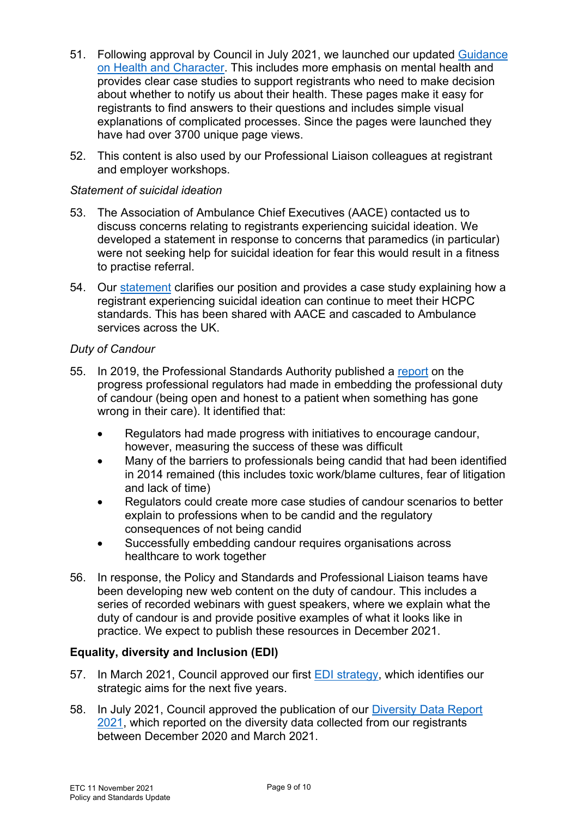- 51. Following approval by Council in July 2021, we launched our updated [Guidance](https://www.hcpc-uk.org/registration/health-and-character-declarations/)  [on Health and Character.](https://www.hcpc-uk.org/registration/health-and-character-declarations/) This includes more emphasis on mental health and provides clear case studies to support registrants who need to make decision about whether to notify us about their health. These pages make it easy for registrants to find answers to their questions and includes simple visual explanations of complicated processes. Since the pages were launched they have had over 3700 unique page views.
- 52. This content is also used by our Professional Liaison colleagues at registrant and employer workshops.

## *Statement of suicidal ideation*

- 53. The Association of Ambulance Chief Executives (AACE) contacted us to discuss concerns relating to registrants experiencing suicidal ideation. We developed a statement in response to concerns that paramedics (in particular) were not seeking help for suicidal ideation for fear this would result in a fitness to practise referral.
- 54. Our [statement](https://www.hcpc-uk.org/media-centre/position-statements/hcpc-statement-on-guidance-on-health-and-character-and-suicidal-ideation/) clarifies our position and provides a case study explaining how a registrant experiencing suicidal ideation can continue to meet their HCPC standards. This has been shared with AACE and cascaded to Ambulance services across the UK.

## *Duty of Candour*

- 55. In 2019, the Professional Standards Authority published a [report](https://www.hcpc-uk.org/globalassets/meetings-attachments3/council-meeting/2019/03.-22.05.2019/enc-07---summary-of-the-psas-report-telling-patients-the-truth-when-something-goes-wrong.pdf) on the progress professional regulators had made in embedding the professional duty of candour (being open and honest to a patient when something has gone wrong in their care). It identified that:
	- Regulators had made progress with initiatives to encourage candour, however, measuring the success of these was difficult
	- Many of the barriers to professionals being candid that had been identified in 2014 remained (this includes toxic work/blame cultures, fear of litigation and lack of time)
	- Regulators could create more case studies of candour scenarios to better explain to professions when to be candid and the regulatory consequences of not being candid
	- Successfully embedding candour requires organisations across healthcare to work together
- 56. In response, the Policy and Standards and Professional Liaison teams have been developing new web content on the duty of candour. This includes a series of recorded webinars with guest speakers, where we explain what the duty of candour is and provide positive examples of what it looks like in practice. We expect to publish these resources in December 2021.

## **Equality, diversity and Inclusion (EDI)**

- 57. In March 2021, Council approved our first EDI [strategy,](https://www.hcpc-uk.org/about-us/equality-diversity-and-inclusion/our-edi-strategy/) which identifies our strategic aims for the next five years.
- 58. In July 2021, Council approved the publication of our [Diversity Data Report](https://www.hcpc-uk.org/resources/reports/2021/diversity-data-report-2021/)  [2021,](https://www.hcpc-uk.org/resources/reports/2021/diversity-data-report-2021/) which reported on the diversity data collected from our registrants between December 2020 and March 2021.